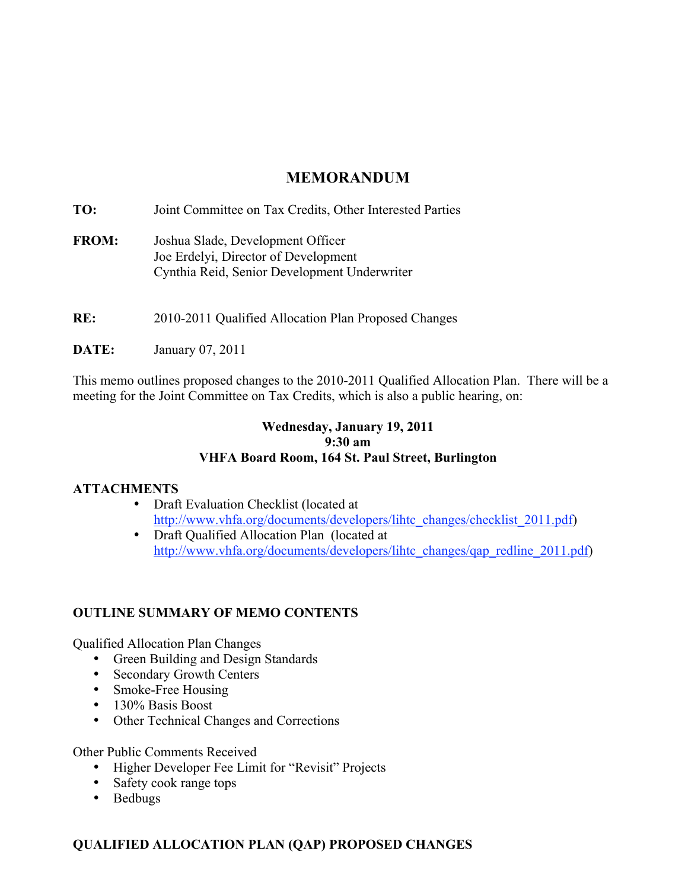# **MEMORANDUM**

**TO:** Joint Committee on Tax Credits, Other Interested Parties **FROM:** Joshua Slade, Development Officer Joe Erdelyi, Director of Development Cynthia Reid, Senior Development Underwriter

**RE:** 2010-2011 Qualified Allocation Plan Proposed Changes

**DATE:** January 07, 2011

This memo outlines proposed changes to the 2010-2011 Qualified Allocation Plan. There will be a meeting for the Joint Committee on Tax Credits, which is also a public hearing, on:

# **Wednesday, January 19, 2011 9:30 am VHFA Board Room, 164 St. Paul Street, Burlington**

### **ATTACHMENTS**

- Draft Evaluation Checklist (located at http://www.vhfa.org/documents/developers/lihtc\_changes/checklist\_2011.pdf)
- Draft Qualified Allocation Plan (located at http://www.vhfa.org/documents/developers/lihtc\_changes/qap\_redline\_2011.pdf)

# **OUTLINE SUMMARY OF MEMO CONTENTS**

Qualified Allocation Plan Changes

- Green Building and Design Standards
- Secondary Growth Centers
- Smoke-Free Housing
- 130% Basis Boost
- Other Technical Changes and Corrections

Other Public Comments Received

- Higher Developer Fee Limit for "Revisit" Projects
- Safety cook range tops
- Bedbugs

# **QUALIFIED ALLOCATION PLAN (QAP) PROPOSED CHANGES**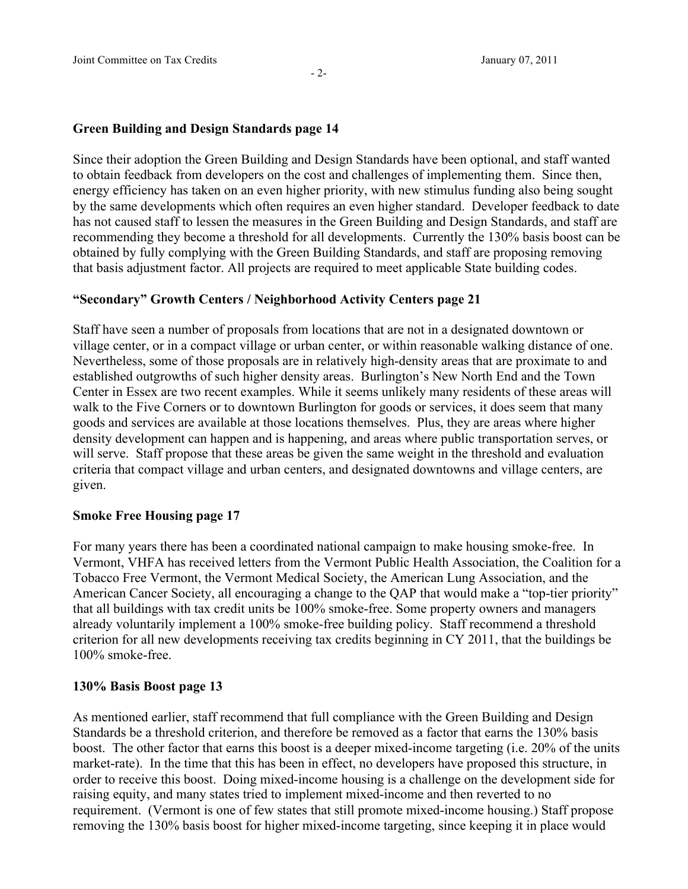### **Green Building and Design Standards page 14**

Since their adoption the Green Building and Design Standards have been optional, and staff wanted to obtain feedback from developers on the cost and challenges of implementing them. Since then, energy efficiency has taken on an even higher priority, with new stimulus funding also being sought by the same developments which often requires an even higher standard. Developer feedback to date has not caused staff to lessen the measures in the Green Building and Design Standards, and staff are recommending they become a threshold for all developments. Currently the 130% basis boost can be obtained by fully complying with the Green Building Standards, and staff are proposing removing that basis adjustment factor. All projects are required to meet applicable State building codes.

### **"Secondary" Growth Centers / Neighborhood Activity Centers page 21**

Staff have seen a number of proposals from locations that are not in a designated downtown or village center, or in a compact village or urban center, or within reasonable walking distance of one. Nevertheless, some of those proposals are in relatively high-density areas that are proximate to and established outgrowths of such higher density areas. Burlington's New North End and the Town Center in Essex are two recent examples. While it seems unlikely many residents of these areas will walk to the Five Corners or to downtown Burlington for goods or services, it does seem that many goods and services are available at those locations themselves. Plus, they are areas where higher density development can happen and is happening, and areas where public transportation serves, or will serve. Staff propose that these areas be given the same weight in the threshold and evaluation criteria that compact village and urban centers, and designated downtowns and village centers, are given.

#### **Smoke Free Housing page 17**

For many years there has been a coordinated national campaign to make housing smoke-free. In Vermont, VHFA has received letters from the Vermont Public Health Association, the Coalition for a Tobacco Free Vermont, the Vermont Medical Society, the American Lung Association, and the American Cancer Society, all encouraging a change to the QAP that would make a "top-tier priority" that all buildings with tax credit units be 100% smoke-free. Some property owners and managers already voluntarily implement a 100% smoke-free building policy. Staff recommend a threshold criterion for all new developments receiving tax credits beginning in CY 2011, that the buildings be 100% smoke-free.

#### **130% Basis Boost page 13**

As mentioned earlier, staff recommend that full compliance with the Green Building and Design Standards be a threshold criterion, and therefore be removed as a factor that earns the 130% basis boost. The other factor that earns this boost is a deeper mixed-income targeting (i.e. 20% of the units market-rate). In the time that this has been in effect, no developers have proposed this structure, in order to receive this boost. Doing mixed-income housing is a challenge on the development side for raising equity, and many states tried to implement mixed-income and then reverted to no requirement. (Vermont is one of few states that still promote mixed-income housing.) Staff propose removing the 130% basis boost for higher mixed-income targeting, since keeping it in place would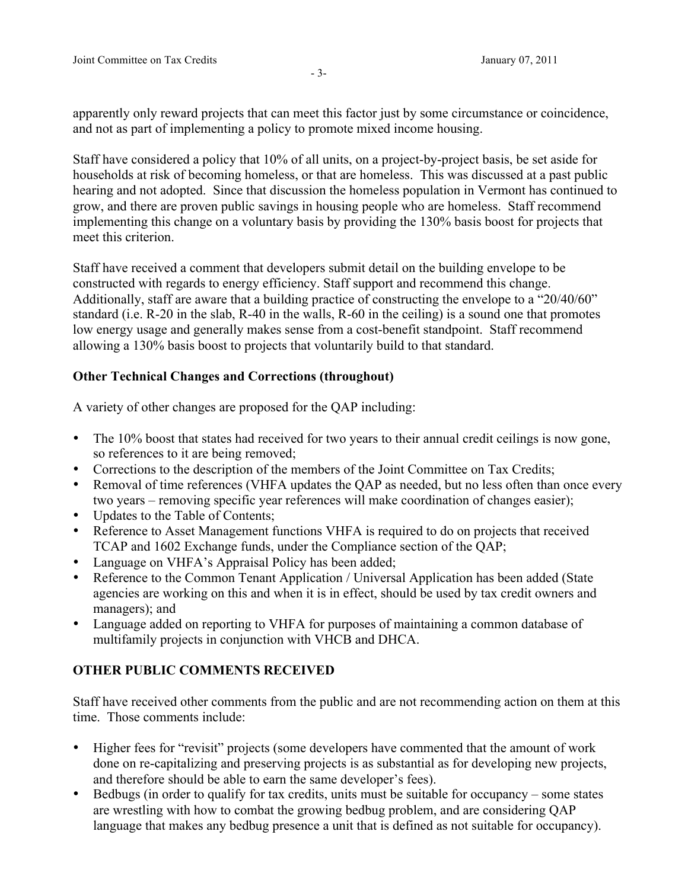apparently only reward projects that can meet this factor just by some circumstance or coincidence, and not as part of implementing a policy to promote mixed income housing.

Staff have considered a policy that 10% of all units, on a project-by-project basis, be set aside for households at risk of becoming homeless, or that are homeless. This was discussed at a past public hearing and not adopted. Since that discussion the homeless population in Vermont has continued to grow, and there are proven public savings in housing people who are homeless. Staff recommend implementing this change on a voluntary basis by providing the 130% basis boost for projects that meet this criterion.

Staff have received a comment that developers submit detail on the building envelope to be constructed with regards to energy efficiency. Staff support and recommend this change. Additionally, staff are aware that a building practice of constructing the envelope to a "20/40/60" standard (i.e. R-20 in the slab, R-40 in the walls, R-60 in the ceiling) is a sound one that promotes low energy usage and generally makes sense from a cost-benefit standpoint. Staff recommend allowing a 130% basis boost to projects that voluntarily build to that standard.

# **Other Technical Changes and Corrections (throughout)**

A variety of other changes are proposed for the QAP including:

- The 10% boost that states had received for two years to their annual credit ceilings is now gone, so references to it are being removed;
- Corrections to the description of the members of the Joint Committee on Tax Credits;
- Removal of time references (VHFA updates the QAP as needed, but no less often than once every two years – removing specific year references will make coordination of changes easier);
- Updates to the Table of Contents;
- Reference to Asset Management functions VHFA is required to do on projects that received TCAP and 1602 Exchange funds, under the Compliance section of the QAP;
- Language on VHFA's Appraisal Policy has been added;
- Reference to the Common Tenant Application / Universal Application has been added (State agencies are working on this and when it is in effect, should be used by tax credit owners and managers); and
- Language added on reporting to VHFA for purposes of maintaining a common database of multifamily projects in conjunction with VHCB and DHCA.

# **OTHER PUBLIC COMMENTS RECEIVED**

Staff have received other comments from the public and are not recommending action on them at this time. Those comments include:

- Higher fees for "revisit" projects (some developers have commented that the amount of work done on re-capitalizing and preserving projects is as substantial as for developing new projects, and therefore should be able to earn the same developer's fees).
- Bedbugs (in order to qualify for tax credits, units must be suitable for occupancy some states are wrestling with how to combat the growing bedbug problem, and are considering QAP language that makes any bedbug presence a unit that is defined as not suitable for occupancy).

- 3-